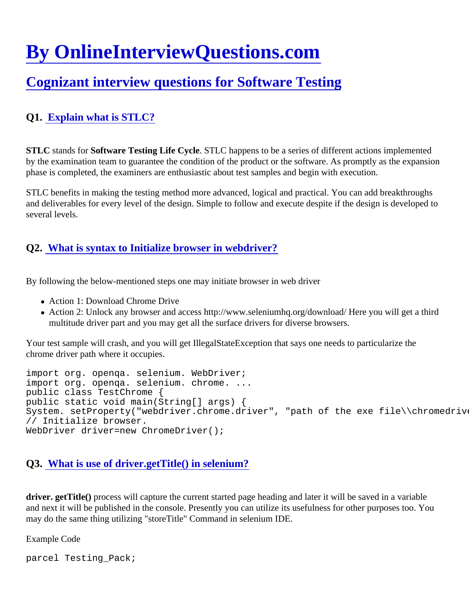# [By OnlineInterviewQuestions.com](https://www.onlineinterviewquestions.com/)

# [Cognizant interview questions for Software Testin](https://www.onlineinterviewquestions.com/cognizant-testing-interview-questions/)g

# Q1. [Explain what is STLC?](https://www.onlineinterviewquestions.com/explain-what-is-stlc/)

STLC stands for Software Testing Life Cycle STLC happens to be a series of different actions implemented by the examination team to guarantee the condition of the product or the software. As promptly as the expans phase is completed, the examiners are enthusiastic about test samples and begin with execution.

STLC benefits in making the testing method more advanced, logical and practical. You can add breakthrough and deliverables for every level of the design. Simple to follow and execute despite if the design is developed several levels.

#### Q2. [What is syntax to Initialize browser in webdriver?](https://www.onlineinterviewquestions.com/what-is-syntax-to-initialize-browser-in-webdriver/)

By following the below-mentioned steps one may initiate browser in web driver

- Action 1: Download Chrome Drive
- Action 2: Unlock any browser and access http://www.seleniumhq.org/download/ Here you will get a third multitude driver part and you may get all the surface drivers for diverse browsers.

Your test sample will crash, and you will get IllegalStateException that says one needs to particularize the chrome driver path where it occupies.

import org. openqa. selenium. WebDriver; import org. openqa. selenium. chrome. ... public class TestChrome { public static void main(String[] args) { System. setProperty("webdriver.chrome.driver", "path of the exe file\\chromedriver.exe"); // Initialize browser. WebDriver driver=new ChromeDriver();

#### Q3. [What is use of driver.getTitle\(\) in selenium?](https://www.onlineinterviewquestions.com/what-is-use-of-driver-gettitle-in-selenium/)

driver. getTitle() process will capture the current started page heading and later it will be saved in a variable and next it will be published in the console. Presently you can utilize its usefulness for other purposes too. Yo may do the same thing utilizing "storeTitle" Command in selenium IDE.

Example Code

parcel Testing\_Pack;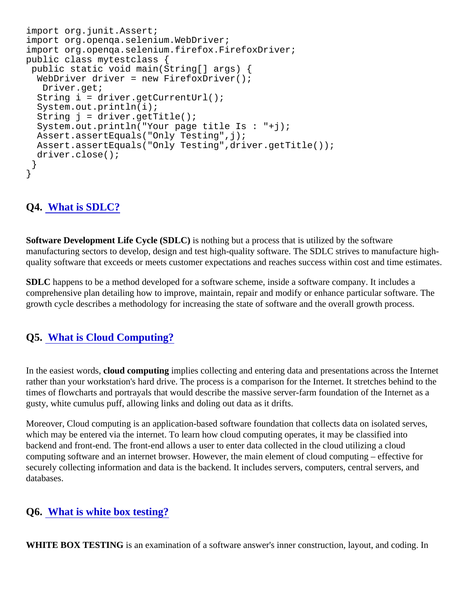```
import org.junit.Assert;
import org.openqa.selenium.WebDriver;
import org.openqa.selenium.firefox.FirefoxDriver;
public class mytestclass {
 public static void main(String[] args) {
 WebDriver driver = new FirefoxDriver();
  Driver.get;
  String i = driver.getCurrentUrl();
  System.out.println(i);
 String j = driver.getTitle();
  System.out.println("Your page title Is : "+j);
  Assert.assertEquals("Only Testing",j);
  Assert.assertEquals("Only Testing",driver.getTitle());
  driver.close();
 }
}
```
## Q4. [What is SDLC?](https://www.onlineinterviewquestions.com/what-is-sdlc/)

Software Development Life Cycle (SDLC) is nothing but a process that is utilized by the software manufacturing sectors to develop, design and test high-quality software. The SDLC strives to manufacture highquality software that exceeds or meets customer expectations and reaches success within cost and time estin

SDLC happens to be a method developed for a software scheme, inside a software company. It includes a comprehensive plan detailing how to improve, maintain, repair and modify or enhance particular software. The growth cycle describes a methodology for increasing the state of software and the overall growth process.

#### Q5. [What is Cloud Computing?](https://www.onlineinterviewquestions.com/what-is-cloud-computing/)

In the easiest wordsloud computing implies collecting and entering data and presentations across the Internet rather than your workstation's hard drive. The process is a comparison for the Internet. It stretches behind to times of flowcharts and portrayals that would describe the massive server-farm foundation of the Internet as a gusty, white cumulus puff, allowing links and doling out data as it drifts.

Moreover, Cloud computing is an application-based software foundation that collects data on isolated serves, which may be entered via the internet. To learn how cloud computing operates, it may be classified into backend and front-end. The front-end allows a user to enter data collected in the cloud utilizing a cloud computing software and an internet browser. However, the main element of cloud computing – effective for securely collecting information and data is the backend. It includes servers, computers, central servers, and databases.

#### Q6. [What is white box testing?](https://www.onlineinterviewquestions.com/what-is-white-box-testing/)

WHITE BOX TESTING is an examination of a software answer's inner construction, layout, and coding. In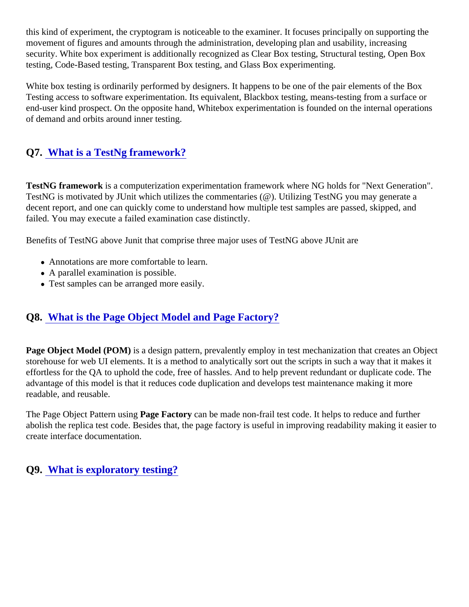this kind of experiment, the cryptogram is noticeable to the examiner. It focuses principally on supporting the movement of figures and amounts through the administration, developing plan and usability, increasing security. White box experiment is additionally recognized as Clear Box testing, Structural testing, Open Box testing, Code-Based testing, Transparent Box testing, and Glass Box experimenting.

White box testing is ordinarily performed by designers. It happens to be one of the pair elements of the Box Testing access to software experimentation. Its equivalent, Blackbox testing, means-testing from a surface or end-user kind prospect. On the opposite hand, Whitebox experimentation is founded on the internal operation of demand and orbits around inner testing.

## Q7. [What is a TestNg framework?](https://www.onlineinterviewquestions.com/what-is-a-testng-framework/)

TestNG framework is a computerization experimentation framework where NG holds for "Next Generation". TestNG is motivated by JUnit which utilizes the commentaries (@). Utilizing TestNG you may generate a decent report, and one can quickly come to understand how multiple test samples are passed, skipped, and failed. You may execute a failed examination case distinctly.

Benefits of TestNG above Junit that comprise three major uses of TestNG above JUnit are

- Annotations are more comfortable to learn.
- A parallel examination is possible.
- Test samples can be arranged more easily.

#### Q8. [What is the Page Object Model and Page Factory](https://www.onlineinterviewquestions.com/what-is-the-page-object-model-and-page-factory/)?

Page Object Model (POM) is a design pattern, prevalently employ in test mechanization that creates an Objec storehouse for web UI elements. It is a method to analytically sort out the scripts in such a way that it makes i effortless for the QA to uphold the code, free of hassles. And to help prevent redundant or duplicate code. Th advantage of this model is that it reduces code duplication and develops test maintenance making it more readable, and reusable.

The Page Object Pattern usingge Factory can be made non-frail test code. It helps to reduce and further abolish the replica test code. Besides that, the page factory is useful in improving readability making it easier create interface documentation.

Q9. [What is exploratory testing?](https://www.onlineinterviewquestions.com/what-is-exploratory-testing/)